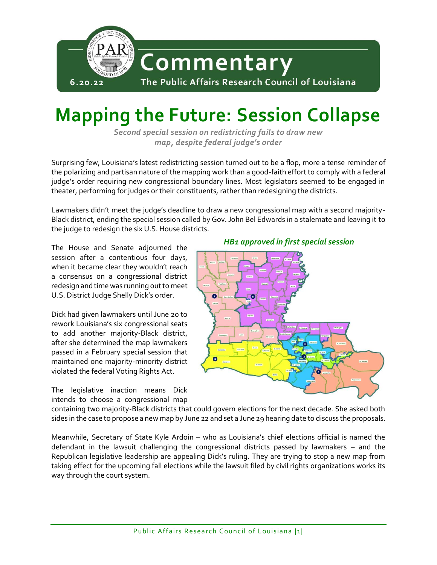

## **Mapping the Future: Session Collapse**

*Second special session on redistricting fails to draw new map, despite federal judge's order*

Surprising few, Louisiana's latest redistricting session turned out to be a flop, more a tense reminder of the polarizing and partisan nature of the mapping work than a good-faith effort to comply with a federal judge's order requiring new congressional boundary lines. Most legislators seemed to be engaged in theater, performing for judges or their constituents, rather than redesigning the districts.

Lawmakers didn't meet the judge's deadline to draw a new congressional map with a second majority-Black district, ending the special session called by Gov. John Bel Edwards in a stalemate and leaving it to the judge to redesign the six U.S. House districts.

The House and Senate adjourned the session after a contentious four days, when it became clear they wouldn't reach a consensus on a congressional district redesign and time was running out to meet U.S. District Judge Shelly Dick's order.

Dick had given lawmakers until June 20 to rework Louisiana's six congressional seats to add another majority-Black district, after she determined the map lawmakers passed in a February special session that maintained one majority-minority district violated the federal Voting Rights Act.

The legislative inaction means Dick intends to choose a congressional map

## *HB1 approved in first special session*



containing two majority-Black districts that could govern elections for the next decade. She asked both sides in the case to propose a new map by June 22 and set a June 29 hearing date to discuss the proposals.

Meanwhile, Secretary of State Kyle Ardoin – who as Louisiana's chief elections official is named the defendant in the lawsuit challenging the congressional districts passed by lawmakers – and the Republican legislative leadership are appealing Dick's ruling. They are trying to stop a new map from taking effect for the upcoming fall elections while the lawsuit filed by civil rights organizations works its way through the court system.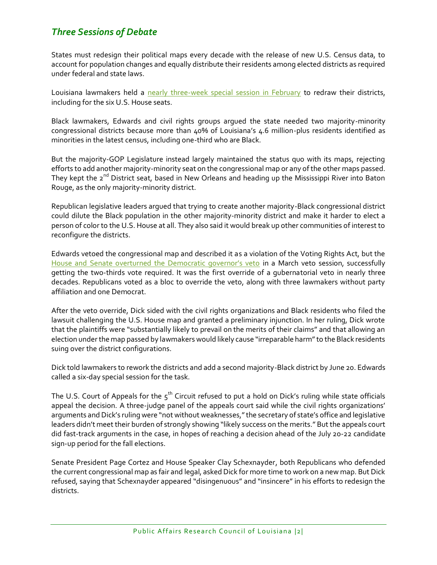## *Three Sessions of Debate*

States must redesign their political maps every decade with the release of new U.S. Census data, to account for population changes and equally distribute their residents among elected districts as required under federal and state laws.

Louisiana lawmakers held a [nearly three-week special session in February](http://parlouisiana.org/wp-content/uploads/2022/02/PAR-Commentary-Mapping-the-Future-Redistricting-Wrap-Up-1.pdf) to redraw their districts, including for the six U.S. House seats.

Black lawmakers, Edwards and civil rights groups argued the state needed two majority-minority congressional districts because more than 40% of Louisiana's 4.6 million-plus residents identified as minorities in the latest census, including one-third who are Black.

But the majority-GOP Legislature instead largely maintained the status quo with its maps, rejecting efforts to add another majority-minority seat on the congressional map or any of the other maps passed. They kept the 2<sup>nd</sup> District seat, based in New Orleans and heading up the Mississippi River into Baton Rouge, as the only majority-minority district.

Republican legislative leaders argued that trying to create another majority-Black congressional district could dilute the Black population in the other majority-minority district and make it harder to elect a person of color to the U.S. House at all. They also said it would break up other communities of interest to reconfigure the districts.

Edwards vetoed the congressional map and described it as a violation of the Voting Rights Act, but the [House and Senate overturned the Democratic governor's veto](http://parlouisiana.org/wp-content/uploads/2022/03/PAR-Commentary-Mapping-the-Future-Veto-Override.pdf) in a March veto session, successfully getting the two-thirds vote required. It was the first override of a gubernatorial veto in nearly three decades. Republicans voted as a bloc to override the veto, along with three lawmakers without party affiliation and one Democrat.

After the veto override, Dick sided with the civil rights organizations and Black residents who filed the lawsuit challenging the U.S. House map and granted a preliminary injunction. In her ruling, Dick wrote that the plaintiffs were "substantially likely to prevail on the merits of their claims" and that allowing an election under the map passed by lawmakers would likely cause "irreparable harm" to the Black residents suing over the district configurations.

Dick told lawmakers to rework the districts and add a second majority-Black district by June 20. Edwards called a six-day special session for the task.

The U.S. Court of Appeals for the  $5<sup>th</sup>$  Circuit refused to put a hold on Dick's ruling while state officials appeal the decision. A three-judge panel of the appeals court said while the civil rights organizations' arguments and Dick's ruling were "not without weaknesses," the secretary of state's office and legislative leaders didn't meet their burden of strongly showing "likely success on the merits." But the appeals court did fast-track arguments in the case, in hopes of reaching a decision ahead of the July 20-22 candidate sign-up period for the fall elections.

Senate President Page Cortez and House Speaker Clay Schexnayder, both Republicans who defended the current congressional map as fair and legal, asked Dick for more time to work on a new map. But Dick refused, saying that Schexnayder appeared "disingenuous" and "insincere" in his efforts to redesign the districts.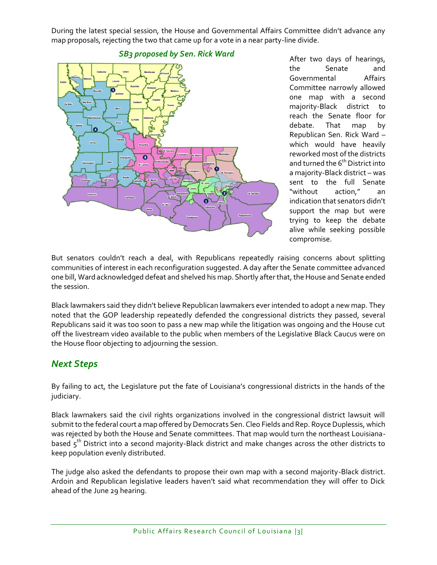During the latest special session, the House and Governmental Affairs Committee didn't advance any map proposals, rejecting the two that came up for a vote in a near party-line divide.



After two days of hearings, the Senate and Governmental Affairs Committee narrowly allowed one map with a second majority-Black district to reach the Senate floor for debate. That map by Republican Sen. Rick Ward – which would have heavily reworked most of the districts and turned the 6<sup>th</sup> District into a majority-Black district – was sent to the full Senate "without action," an indication that senators didn't support the map but were trying to keep the debate alive while seeking possible compromise.

But senators couldn't reach a deal, with Republicans repeatedly raising concerns about splitting communities of interest in each reconfiguration suggested. A day after the Senate committee advanced one bill, Ward acknowledged defeat and shelved his map. Shortly after that, the House and Senate ended the session.

Black lawmakers said they didn't believe Republican lawmakers ever intended to adopt a new map. They noted that the GOP leadership repeatedly defended the congressional districts they passed, several Republicans said it was too soon to pass a new map while the litigation was ongoing and the House cut off the livestream video available to the public when members of the Legislative Black Caucus were on the House floor objecting to adjourning the session.

## *Next Steps*

By failing to act, the Legislature put the fate of Louisiana's congressional districts in the hands of the judiciary.

Black lawmakers said the civil rights organizations involved in the congressional district lawsuit will submit to the federal court a map offered by Democrats Sen. Cleo Fields and Rep. Royce Duplessis, which was rejected by both the House and Senate committees. That map would turn the northeast Louisianabased 5<sup>th</sup> District into a second majority-Black district and make changes across the other districts to keep population evenly distributed.

The judge also asked the defendants to propose their own map with a second majority-Black district. Ardoin and Republican legislative leaders haven't said what recommendation they will offer to Dick ahead of the June 29 hearing.